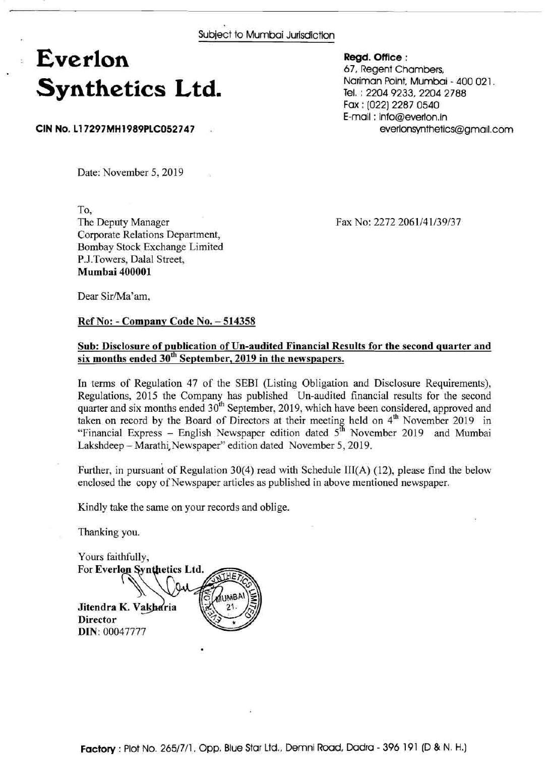Subject to Mumbai Jurisdiction

## **Everlon Synthetics Ltd.**

CIN No. L17297MH1989PLC052747

**Regd. Office** : 67, Regent Chambers, Nariman Point, Mumbai - 400 021, Tel. : 2204 9233, 2204 2788 Fax : (022) 2287 0540 E-mail : info@everlon.in everlonsynthetics@gmail.com

Date: November 5, 2019

To, The Deputy Manager Corporate Relations Department, Bombay Stock Exchange Limited P.J.Towers, Dalal Street,

Fax No: 2272 2061/41/39/37

Dear Sir/Ma'am,

**Mumbai** 400001

## **Ref No:** - **Company Code No.** - <sup>514358</sup>

## **Sub: Disclosure of publication of Un-audited Financial Results for the second quarter and six months ended** 3oth **September,** 2019 **in the newspapers.**

In terms of Regulation 47 of the SEBI (Listing Obligation and Disclosure Requirements), Regulations, 2015 the Company has published Un-audited financial results for the second quarter and six months ended  $30^{th}$  September, 2019, which have been considered, approved and taken on record by the Board of Directors at their meeting held on  $4^{th}$  November 2019 in "Financial Express – English Newspaper edition dated  $5<sup>th</sup>$  November 2019 and Mumbai Lakshdeep - Marathi, Newspaper" edition dated November 5, 2019.

Further, in pursuant of Regulation 30(4) read with Schedule III(A) (12), please find the below enclosed the copy of Newspaper articles as published in above mentioned newspaper.

Kindly take the same on your records and oblige.

Thanking you.

Yours faithfully, For Everlon Synthetics Ltd. Jitendra K. Vakharia **Director DIN:** 00047777